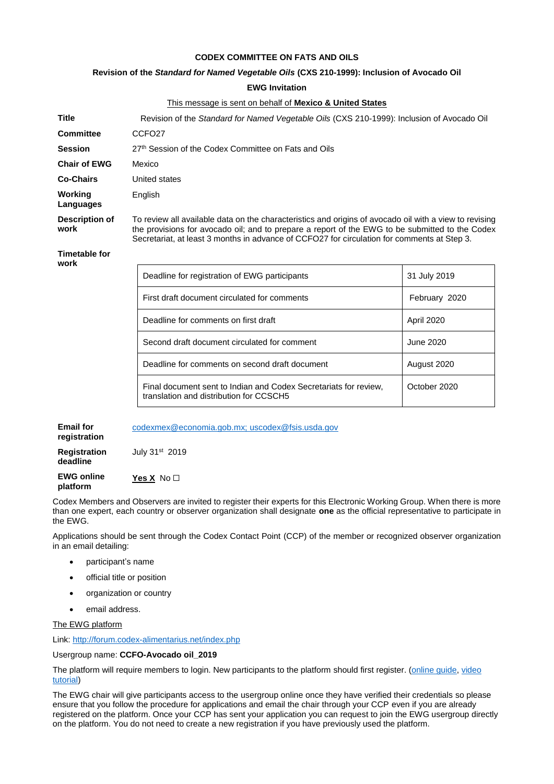## **CODEX COMMITTEE ON FATS AND OILS**

### **Revision of the** *Standard for Named Vegetable Oils* **(CXS 210-1999): Inclusion of Avocado Oil**

**EWG Invitation**

This message is sent on behalf of **Mexico & United States**

| <b>Title</b>                     | Revision of the Standard for Named Vegetable Oils (CXS 210-1999): Inclusion of Avocado Oil                                                                                                                                                                                                               |                  |
|----------------------------------|----------------------------------------------------------------------------------------------------------------------------------------------------------------------------------------------------------------------------------------------------------------------------------------------------------|------------------|
| <b>Committee</b>                 | CCFO <sub>27</sub>                                                                                                                                                                                                                                                                                       |                  |
| <b>Session</b>                   | 27th Session of the Codex Committee on Fats and Oils                                                                                                                                                                                                                                                     |                  |
| <b>Chair of EWG</b>              | Mexico                                                                                                                                                                                                                                                                                                   |                  |
| <b>Co-Chairs</b>                 | United states                                                                                                                                                                                                                                                                                            |                  |
| Working<br>Languages             | English                                                                                                                                                                                                                                                                                                  |                  |
| <b>Description of</b><br>work    | To review all available data on the characteristics and origins of avocado oil with a view to revising<br>the provisions for avocado oil; and to prepare a report of the EWG to be submitted to the Codex<br>Secretariat, at least 3 months in advance of CCFO27 for circulation for comments at Step 3. |                  |
| <b>Timetable for</b><br>work     |                                                                                                                                                                                                                                                                                                          |                  |
|                                  | Deadline for registration of EWG participants                                                                                                                                                                                                                                                            | 31 July 2019     |
|                                  | First draft document circulated for comments                                                                                                                                                                                                                                                             | February 2020    |
|                                  | Deadline for comments on first draft                                                                                                                                                                                                                                                                     | April 2020       |
|                                  | Second draft document circulated for comment                                                                                                                                                                                                                                                             | <b>June 2020</b> |
|                                  | Deadline for comments on second draft document                                                                                                                                                                                                                                                           | August 2020      |
|                                  | Final document sent to Indian and Codex Secretariats for review,<br>translation and distribution for CCSCH5                                                                                                                                                                                              | October 2020     |
| <b>Email for</b><br>registration | codexmex@economia.gob.mx; uscodex@fsis.usda.gov                                                                                                                                                                                                                                                          |                  |
| <b>Registration</b><br>deadline  | July 31 <sup>st</sup> 2019                                                                                                                                                                                                                                                                               |                  |
| <b>EWG online</b>                | Yes X $No1$                                                                                                                                                                                                                                                                                              |                  |

Codex Members and Observers are invited to register their experts for this Electronic Working Group. When there is more than one expert, each country or observer organization shall designate **one** as the official representative to participate in the EWG.

Applications should be sent through the Codex Contact Point (CCP) of the member or recognized observer organization in an email detailing:

- participant's name
- official title or position
- organization or country
- email address.

The EWG platform

**platform** 

Link:<http://forum.codex-alimentarius.net/index.php>

#### Usergroup name: **CCFO-Avocado oil\_2019**

The platform will require members to login. New participants to the platform should first register. (online quide, video [tutorial\)](https://youtu.be/EJn9k7wNSwk)

The EWG chair will give participants access to the usergroup online once they have verified their credentials so please ensure that you follow the procedure for applications and email the chair through your CCP even if you are already registered on the platform. Once your CCP has sent your application you can request to join the EWG usergroup directly on the platform. You do not need to create a new registration if you have previously used the platform.